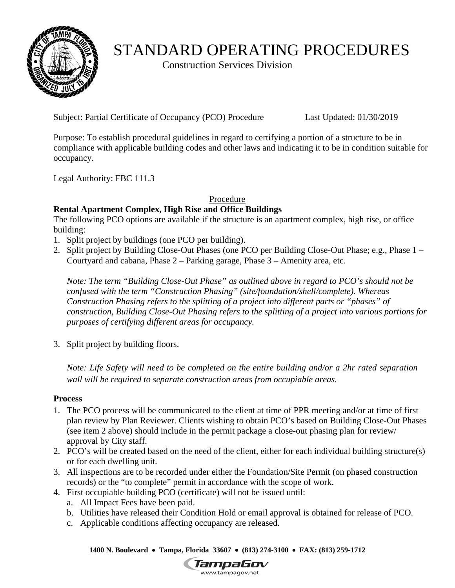

# STANDARD OPERATING PROCEDURES

Construction Services Division

Subject: Partial Certificate of Occupancy (PCO) Procedure Last Updated: 01/30/2019

Purpose: To establish procedural guidelines in regard to certifying a portion of a structure to be in compliance with applicable building codes and other laws and indicating it to be in condition suitable for occupancy.

Legal Authority: FBC 111.3

Procedure

### **Rental Apartment Complex, High Rise and Office Buildings**

The following PCO options are available if the structure is an apartment complex, high rise, or office building:

- 1. Split project by buildings (one PCO per building).
- 2. Split project by Building Close-Out Phases (one PCO per Building Close-Out Phase; e.g., Phase 1 Courtyard and cabana, Phase 2 – Parking garage, Phase 3 – Amenity area, etc.

*Note: The term "Building Close-Out Phase" as outlined above in regard to PCO's should not be confused with the term "Construction Phasing" (site/foundation/shell/complete). Whereas Construction Phasing refers to the splitting of a project into different parts or "phases" of construction, Building Close-Out Phasing refers to the splitting of a project into various portions for purposes of certifying different areas for occupancy.* 

3. Split project by building floors.

*Note: Life Safety will need to be completed on the entire building and/or a 2hr rated separation wall will be required to separate construction areas from occupiable areas.* 

#### **Process**

- 1. The PCO process will be communicated to the client at time of PPR meeting and/or at time of first plan review by Plan Reviewer. Clients wishing to obtain PCO's based on Building Close-Out Phases (see item 2 above) should include in the permit package a close-out phasing plan for review/ approval by City staff.
- or for each dwelling unit. 2. PCO's will be created based on the need of the client, either for each individual building structure(s)
- 3. All inspections are to be recorded under either the Foundation/Site Permit (on phased construction records) or the "to complete" permit in accordance with the scope of work.
- 4. First occupiable building PCO (certificate) will not be issued until:
	- a. All Impact Fees have been paid.
	- b. Utilities have released their Condition Hold or email approval is obtained for release of PCO.
	- c. Applicable conditions affecting occupancy are released.

 **1400 N. Boulevard Tampa, Florida 33607 (813) 274-3100 FAX: (813) 259-1712**